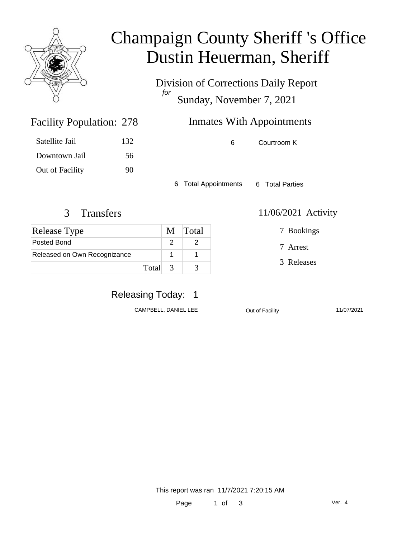

## Champaign County Sheriff 's Office Dustin Heuerman, Sheriff

Division of Corrections Daily Report *for* Sunday, November 7, 2021

### Inmates With Appointments

6 Courtroom K

6 Total Appointments 6 Total Parties

#### 3 Transfers 11/06/2021 Activity

Facility Population: 278

Satellite Jail 132

Downtown Jail 56

Out of Facility 90

| <b>Release Type</b>          | M Total |
|------------------------------|---------|
| Posted Bond                  |         |
| Released on Own Recognizance |         |
| Total 3                      |         |

## Releasing Today: 1

CAMPBELL, DANIEL LEE <br>
Out of Facility 11/07/2021

7 Bookings

7 Arrest

3 Releases

This report was ran 11/7/2021 7:20:15 AM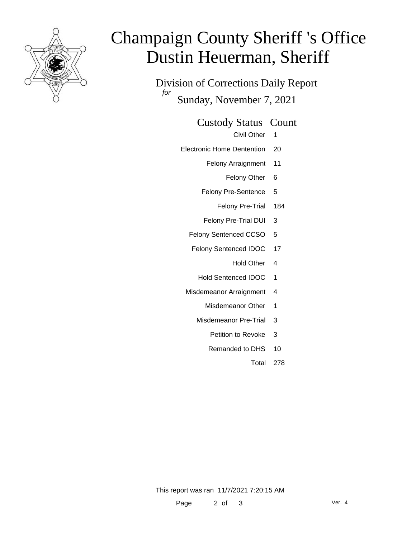

# Champaign County Sheriff 's Office Dustin Heuerman, Sheriff

Division of Corrections Daily Report *for* Sunday, November 7, 2021

#### Custody Status Count

- Civil Other 1
- Electronic Home Dentention 20
	- Felony Arraignment 11
		- Felony Other 6
	- Felony Pre-Sentence 5
		- Felony Pre-Trial 184
	- Felony Pre-Trial DUI 3
	- Felony Sentenced CCSO 5
	- Felony Sentenced IDOC 17
		- Hold Other 4
		- Hold Sentenced IDOC 1
	- Misdemeanor Arraignment 4
		- Misdemeanor Other 1
		- Misdemeanor Pre-Trial 3
			- Petition to Revoke 3
			- Remanded to DHS 10
				- Total 278